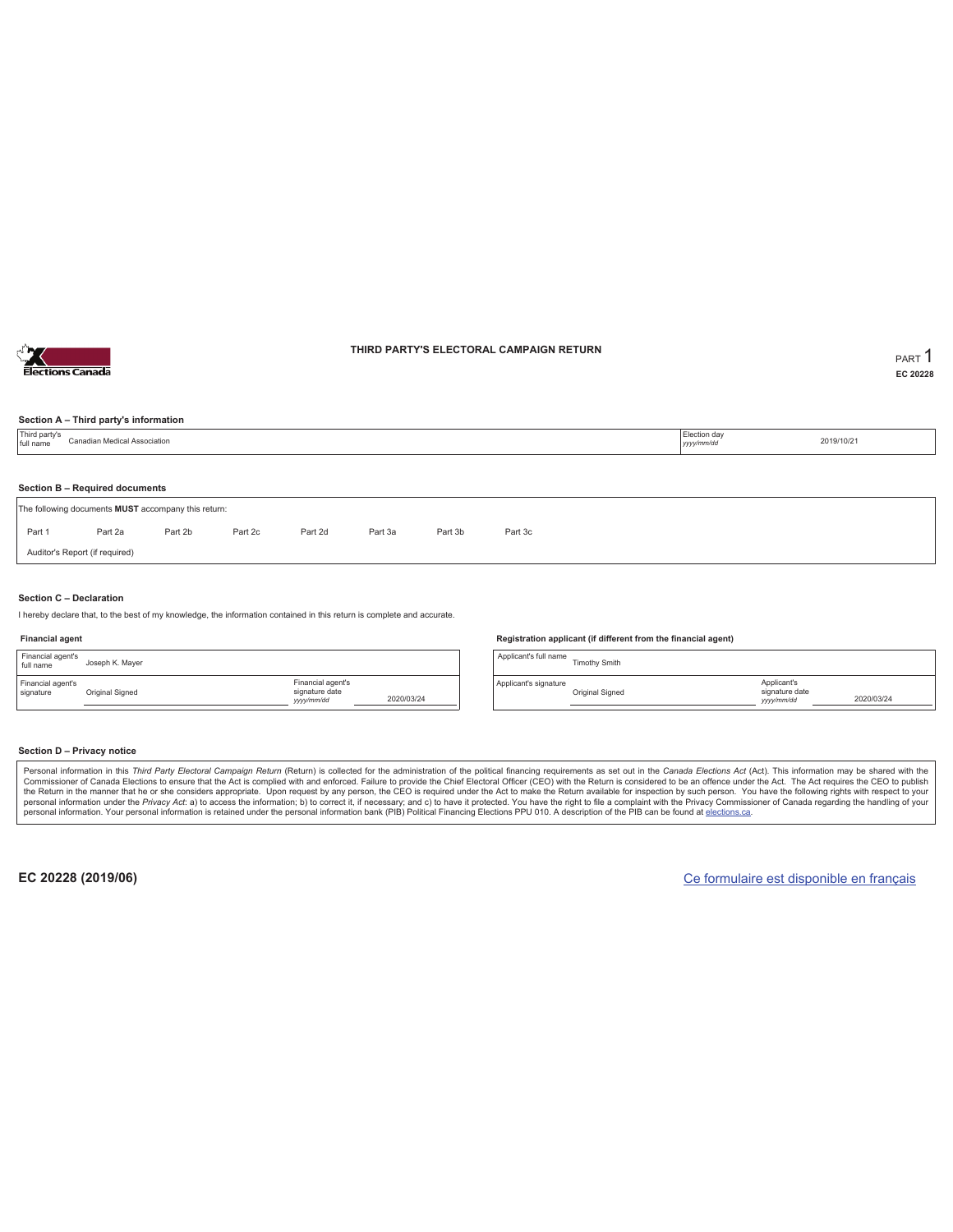

#### **THIRD PARTY'S ELECTORAL CAMPAIGN RETURN PART** 1

**EC 20228**

#### **Section A – Third party's information**

| Third party's<br>full name | Canadian Medical Association                                                          |         |         |         |         |         |         |  | Election day<br>yyyy/mm/dd | 2019/10/21 |  |  |
|----------------------------|---------------------------------------------------------------------------------------|---------|---------|---------|---------|---------|---------|--|----------------------------|------------|--|--|
|                            |                                                                                       |         |         |         |         |         |         |  |                            |            |  |  |
|                            | Section B - Required documents<br>The following documents MUST accompany this return: |         |         |         |         |         |         |  |                            |            |  |  |
| Part 1                     | Part 2a                                                                               | Part 2b | Part 2c | Part 2d | Part 3a | Part 3b | Part 3c |  |                            |            |  |  |
|                            | Auditor's Report (if required)                                                        |         |         |         |         |         |         |  |                            |            |  |  |

#### **Section C – Declaration**

I hereby declare that, to the best of my knowledge, the information contained in this return is complete and accurate.

#### **Financial agent**

| Financial agent's<br>full name | Joseph K. Mayer |                                                  |            |
|--------------------------------|-----------------|--------------------------------------------------|------------|
| Financial agent's<br>signature | Original Signed | Financial agent's<br>signature date<br>yyy/mm/dd | 2020/03/24 |

#### **Registration applicant (if different from the financial agent)**

Applicant's full name<br>
Timothy Smith Applicant's signature Original Signed Applicant's signature date *yyyy/mm/dd* 2020/03/24

#### **Section D – Privacy notice**

Personal information in this Third Party Electoral Campaign Return (Return) is collected for the administration of the political financing requirements as set out in the Canada Elections Act (Act). This information may be Commissioner of Canada Elections to ensure that the Act is complied with and enforced. Failure to provide the Chief Electoral Officer (CEO) with the Return is considered to be an offence under the Act. The Act requires the personal information. Your personal information is retained under the personal information bank (PIB) Political Financing Elections PPU 010. A description of the PIB can be found at elections.ca.

**EC 20228 (2019/06)** Ce formulaire est disponible en français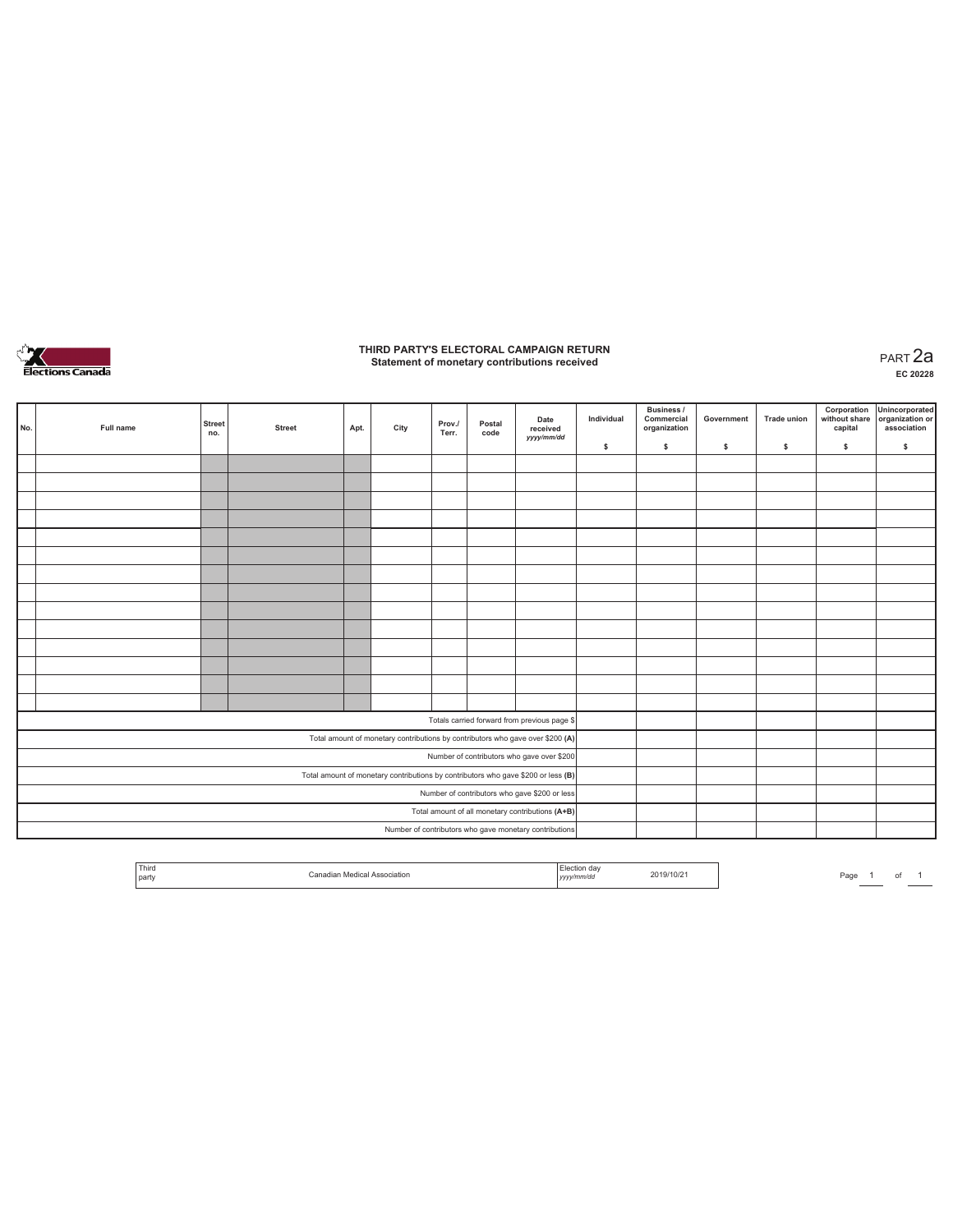

### **THIRD PARTY'S ELECTORAL CAMPAIGN RETURN Statement of monetary contributions received** PART 2a

| No.                                                                               | Full name                                              | <b>Street</b><br>no. | <b>Street</b> | Apt. | City | Prov./<br>Terr. | Postal<br>code | Date<br>received                                                               | Individual | <b>Business /</b><br>Commercial<br>organization | Government | <b>Trade union</b> | Corporation<br>capital | Unincorporated<br>without share organization or<br>association |
|-----------------------------------------------------------------------------------|--------------------------------------------------------|----------------------|---------------|------|------|-----------------|----------------|--------------------------------------------------------------------------------|------------|-------------------------------------------------|------------|--------------------|------------------------|----------------------------------------------------------------|
|                                                                                   |                                                        |                      |               |      |      |                 |                | yyyy/mm/dd                                                                     | \$         | \$                                              | \$         | \$                 | \$                     | \$                                                             |
|                                                                                   |                                                        |                      |               |      |      |                 |                |                                                                                |            |                                                 |            |                    |                        |                                                                |
|                                                                                   |                                                        |                      |               |      |      |                 |                |                                                                                |            |                                                 |            |                    |                        |                                                                |
|                                                                                   |                                                        |                      |               |      |      |                 |                |                                                                                |            |                                                 |            |                    |                        |                                                                |
|                                                                                   |                                                        |                      |               |      |      |                 |                |                                                                                |            |                                                 |            |                    |                        |                                                                |
|                                                                                   |                                                        |                      |               |      |      |                 |                |                                                                                |            |                                                 |            |                    |                        |                                                                |
|                                                                                   |                                                        |                      |               |      |      |                 |                |                                                                                |            |                                                 |            |                    |                        |                                                                |
|                                                                                   |                                                        |                      |               |      |      |                 |                |                                                                                |            |                                                 |            |                    |                        |                                                                |
|                                                                                   |                                                        |                      |               |      |      |                 |                |                                                                                |            |                                                 |            |                    |                        |                                                                |
|                                                                                   |                                                        |                      |               |      |      |                 |                |                                                                                |            |                                                 |            |                    |                        |                                                                |
|                                                                                   |                                                        |                      |               |      |      |                 |                |                                                                                |            |                                                 |            |                    |                        |                                                                |
|                                                                                   |                                                        |                      |               |      |      |                 |                |                                                                                |            |                                                 |            |                    |                        |                                                                |
|                                                                                   |                                                        |                      |               |      |      |                 |                |                                                                                |            |                                                 |            |                    |                        |                                                                |
|                                                                                   |                                                        |                      |               |      |      |                 |                |                                                                                |            |                                                 |            |                    |                        |                                                                |
|                                                                                   |                                                        |                      |               |      |      |                 |                |                                                                                |            |                                                 |            |                    |                        |                                                                |
|                                                                                   |                                                        |                      |               |      |      |                 |                | Totals carried forward from previous page \$                                   |            |                                                 |            |                    |                        |                                                                |
|                                                                                   |                                                        |                      |               |      |      |                 |                | Total amount of monetary contributions by contributors who gave over \$200 (A) |            |                                                 |            |                    |                        |                                                                |
|                                                                                   |                                                        |                      |               |      |      |                 |                | Number of contributors who gave over \$200                                     |            |                                                 |            |                    |                        |                                                                |
| Total amount of monetary contributions by contributors who gave \$200 or less (B) |                                                        |                      |               |      |      |                 |                |                                                                                |            |                                                 |            |                    |                        |                                                                |
| Number of contributors who gave \$200 or less                                     |                                                        |                      |               |      |      |                 |                |                                                                                |            |                                                 |            |                    |                        |                                                                |
|                                                                                   | Total amount of all monetary contributions (A+B)       |                      |               |      |      |                 |                |                                                                                |            |                                                 |            |                    |                        |                                                                |
|                                                                                   | Number of contributors who gave monetary contributions |                      |               |      |      |                 |                |                                                                                |            |                                                 |            |                    |                        |                                                                |

|  | Third<br><b>STATE OF BUILDING</b><br>party | ading"<br>Association | .<br>.<br>,,,, | 2019/10/2 | Page |  |  |  |
|--|--------------------------------------------|-----------------------|----------------|-----------|------|--|--|--|
|--|--------------------------------------------|-----------------------|----------------|-----------|------|--|--|--|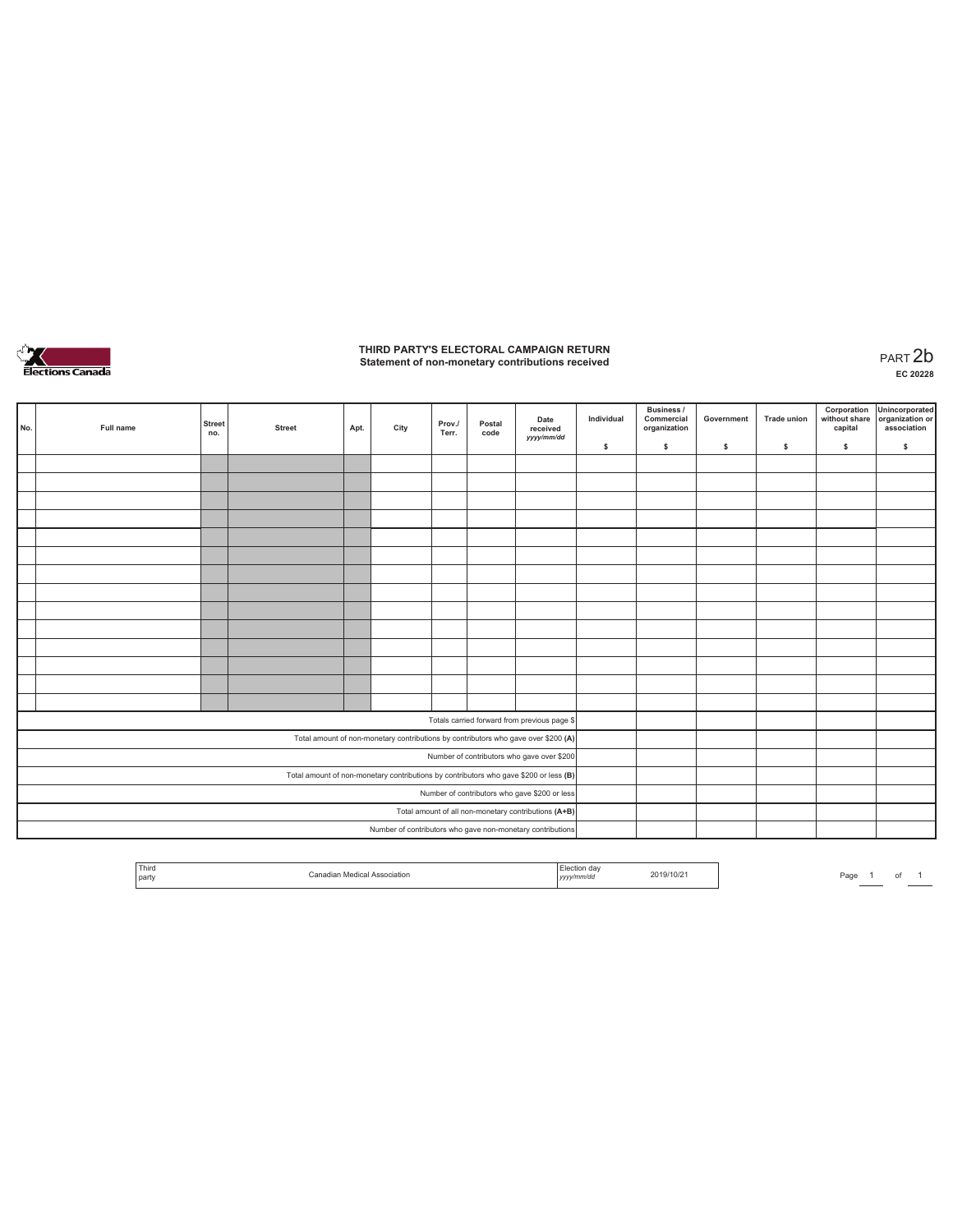

# **THIRD PARTY'S ELECTORAL CAMPAIGN RETURN Statement of non-monetary contributions received** PART 2b

| No. | Full name                                     | <b>Street</b><br>no. | <b>Street</b> | Apt. | City | Prov./<br>Terr. | Postal<br>code                                             | Date<br>received<br>yyyy/mm/dd                                                        | Individual | Business /<br>Commercial<br>organization | Government | <b>Trade union</b> | Corporation<br>without share<br>capital | Unincorporated<br>organization or<br>association |
|-----|-----------------------------------------------|----------------------|---------------|------|------|-----------------|------------------------------------------------------------|---------------------------------------------------------------------------------------|------------|------------------------------------------|------------|--------------------|-----------------------------------------|--------------------------------------------------|
|     |                                               |                      |               |      |      |                 |                                                            |                                                                                       | \$         | \$                                       | \$         | \$                 | \$                                      | \$                                               |
|     |                                               |                      |               |      |      |                 |                                                            |                                                                                       |            |                                          |            |                    |                                         |                                                  |
|     |                                               |                      |               |      |      |                 |                                                            |                                                                                       |            |                                          |            |                    |                                         |                                                  |
|     |                                               |                      |               |      |      |                 |                                                            |                                                                                       |            |                                          |            |                    |                                         |                                                  |
|     |                                               |                      |               |      |      |                 |                                                            |                                                                                       |            |                                          |            |                    |                                         |                                                  |
|     |                                               |                      |               |      |      |                 |                                                            |                                                                                       |            |                                          |            |                    |                                         |                                                  |
|     |                                               |                      |               |      |      |                 |                                                            |                                                                                       |            |                                          |            |                    |                                         |                                                  |
|     |                                               |                      |               |      |      |                 |                                                            |                                                                                       |            |                                          |            |                    |                                         |                                                  |
|     |                                               |                      |               |      |      |                 |                                                            |                                                                                       |            |                                          |            |                    |                                         |                                                  |
|     |                                               |                      |               |      |      |                 |                                                            |                                                                                       |            |                                          |            |                    |                                         |                                                  |
|     |                                               |                      |               |      |      |                 |                                                            |                                                                                       |            |                                          |            |                    |                                         |                                                  |
|     |                                               |                      |               |      |      |                 |                                                            |                                                                                       |            |                                          |            |                    |                                         |                                                  |
|     |                                               |                      |               |      |      |                 |                                                            |                                                                                       |            |                                          |            |                    |                                         |                                                  |
|     |                                               |                      |               |      |      |                 |                                                            |                                                                                       |            |                                          |            |                    |                                         |                                                  |
|     |                                               |                      |               |      |      |                 |                                                            |                                                                                       |            |                                          |            |                    |                                         |                                                  |
|     |                                               |                      |               |      |      |                 |                                                            | Totals carried forward from previous page \$                                          |            |                                          |            |                    |                                         |                                                  |
|     |                                               |                      |               |      |      |                 |                                                            | Total amount of non-monetary contributions by contributors who gave over \$200 (A)    |            |                                          |            |                    |                                         |                                                  |
|     |                                               |                      |               |      |      |                 |                                                            | Number of contributors who gave over \$200                                            |            |                                          |            |                    |                                         |                                                  |
|     |                                               |                      |               |      |      |                 |                                                            | Total amount of non-monetary contributions by contributors who gave \$200 or less (B) |            |                                          |            |                    |                                         |                                                  |
|     | Number of contributors who gave \$200 or less |                      |               |      |      |                 |                                                            |                                                                                       |            |                                          |            |                    |                                         |                                                  |
|     |                                               |                      |               |      |      |                 |                                                            | Total amount of all non-monetary contributions (A+B)                                  |            |                                          |            |                    |                                         |                                                  |
|     |                                               |                      |               |      |      |                 | Number of contributors who gave non-monetary contributions |                                                                                       |            |                                          |            |                    |                                         |                                                  |

| Third<br>and the control of the con-<br>party | ciation. | <b>Contract Contract Contract Contract</b><br>,,,,<br>.<br>$\sim$ $\sim$ | 2019/10/21 | Page | $\sim$ |  |
|-----------------------------------------------|----------|--------------------------------------------------------------------------|------------|------|--------|--|
|                                               |          |                                                                          |            |      |        |  |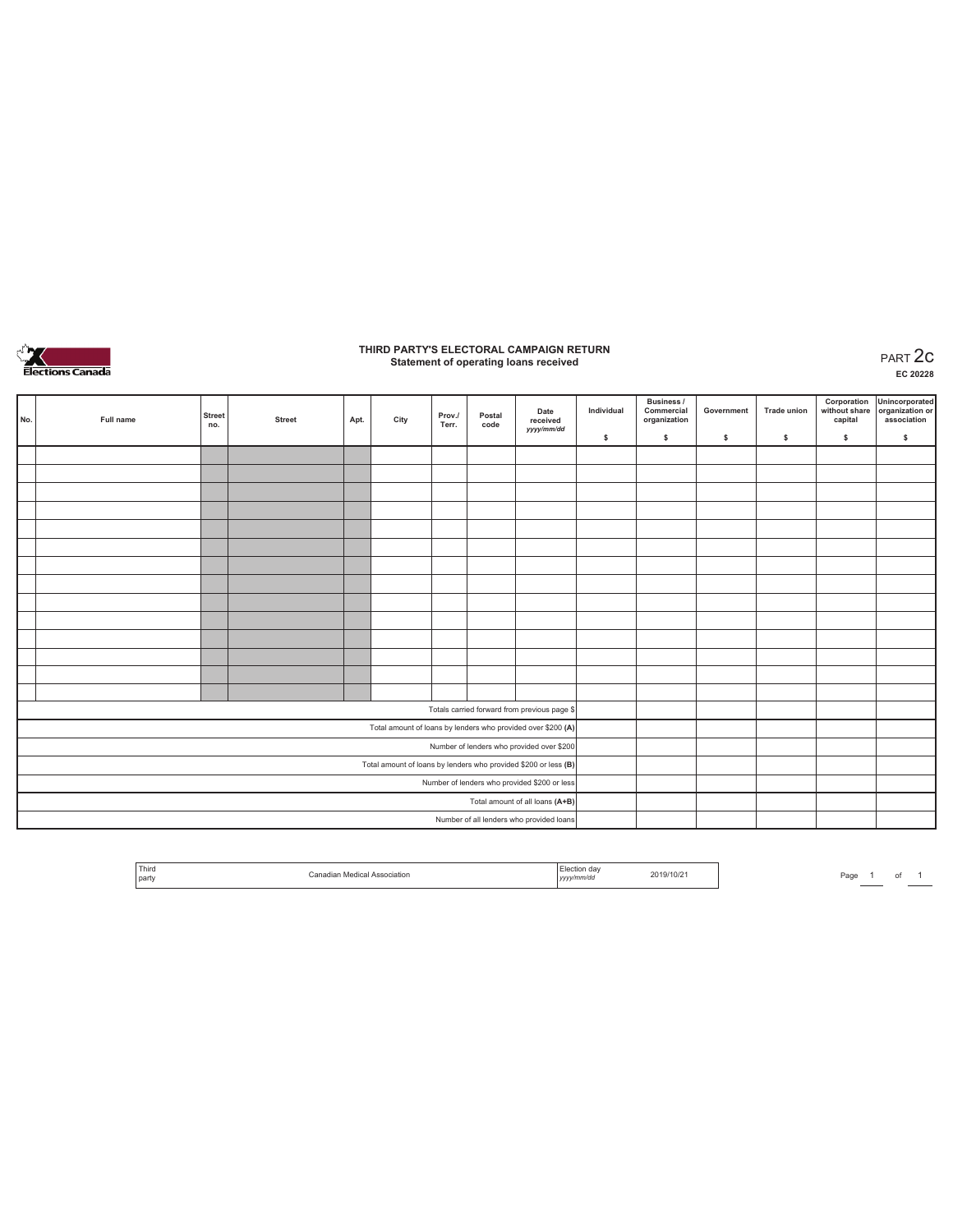

### **THIRD PARTY'S ELECTORAL CAMPAIGN RETURN Statement of operating loans received** PART 2c

**EC 20228**

| No.                                          | Full name | <b>Street</b><br>no. | <b>Street</b>                            | Apt. | City | Prov./<br>Terr. | Postal<br>code | Date<br>received<br>yyyy/mm/dd                                  | Individual | <b>Business /</b><br>Commercial<br>organization | Government | <b>Trade union</b> | Corporation<br>without share<br>capital | Unincorporated<br>organization or<br>association |
|----------------------------------------------|-----------|----------------------|------------------------------------------|------|------|-----------------|----------------|-----------------------------------------------------------------|------------|-------------------------------------------------|------------|--------------------|-----------------------------------------|--------------------------------------------------|
|                                              |           |                      |                                          |      |      |                 |                |                                                                 | \$         | \$.                                             | \$         | s                  | \$                                      | $\mathbb S$                                      |
|                                              |           |                      |                                          |      |      |                 |                |                                                                 |            |                                                 |            |                    |                                         |                                                  |
|                                              |           |                      |                                          |      |      |                 |                |                                                                 |            |                                                 |            |                    |                                         |                                                  |
|                                              |           |                      |                                          |      |      |                 |                |                                                                 |            |                                                 |            |                    |                                         |                                                  |
|                                              |           |                      |                                          |      |      |                 |                |                                                                 |            |                                                 |            |                    |                                         |                                                  |
|                                              |           |                      |                                          |      |      |                 |                |                                                                 |            |                                                 |            |                    |                                         |                                                  |
|                                              |           |                      |                                          |      |      |                 |                |                                                                 |            |                                                 |            |                    |                                         |                                                  |
|                                              |           |                      |                                          |      |      |                 |                |                                                                 |            |                                                 |            |                    |                                         |                                                  |
|                                              |           |                      |                                          |      |      |                 |                |                                                                 |            |                                                 |            |                    |                                         |                                                  |
|                                              |           |                      |                                          |      |      |                 |                |                                                                 |            |                                                 |            |                    |                                         |                                                  |
|                                              |           |                      |                                          |      |      |                 |                |                                                                 |            |                                                 |            |                    |                                         |                                                  |
|                                              |           |                      |                                          |      |      |                 |                |                                                                 |            |                                                 |            |                    |                                         |                                                  |
|                                              |           |                      |                                          |      |      |                 |                |                                                                 |            |                                                 |            |                    |                                         |                                                  |
|                                              |           |                      |                                          |      |      |                 |                |                                                                 |            |                                                 |            |                    |                                         |                                                  |
|                                              |           |                      |                                          |      |      |                 |                |                                                                 |            |                                                 |            |                    |                                         |                                                  |
|                                              |           |                      |                                          |      |      |                 |                | Totals carried forward from previous page \$                    |            |                                                 |            |                    |                                         |                                                  |
|                                              |           |                      |                                          |      |      |                 |                | Total amount of loans by lenders who provided over \$200 (A)    |            |                                                 |            |                    |                                         |                                                  |
|                                              |           |                      |                                          |      |      |                 |                | Number of lenders who provided over \$200                       |            |                                                 |            |                    |                                         |                                                  |
|                                              |           |                      |                                          |      |      |                 |                | Total amount of loans by lenders who provided \$200 or less (B) |            |                                                 |            |                    |                                         |                                                  |
| Number of lenders who provided \$200 or less |           |                      |                                          |      |      |                 |                |                                                                 |            |                                                 |            |                    |                                         |                                                  |
|                                              |           |                      |                                          |      |      |                 |                | Total amount of all loans (A+B)                                 |            |                                                 |            |                    |                                         |                                                  |
|                                              |           |                      | Number of all lenders who provided loans |      |      |                 |                |                                                                 |            |                                                 |            |                    |                                         |                                                  |

| Third<br>ciation<br>party | 19/10/21<br>:/mm/dc<br>,,,,, |
|---------------------------|------------------------------|
|---------------------------|------------------------------|

Page  $1$  of  $1$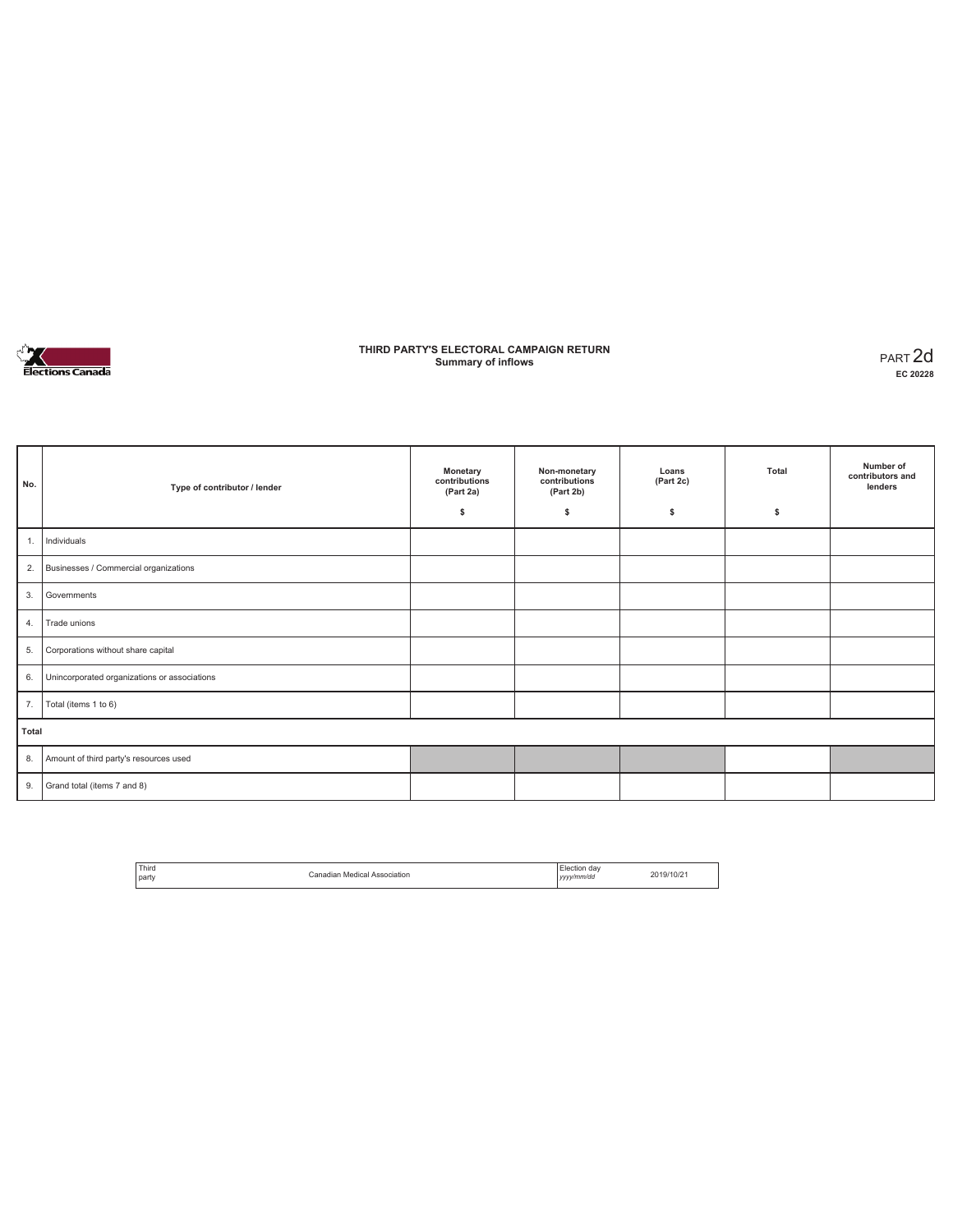

### **THIRD PARTY'S ELECTORAL CAMPAIGN RETURN Summary of inflows** PART 2d

| No.   | Type of contributor / lender                 | Monetary<br>contributions<br>(Part 2a)<br>\$ | Non-monetary<br>contributions<br>(Part 2b)<br>\$ | Loans<br>(Part 2c)<br>s | Total<br>\$ | Number of<br>contributors and<br>lenders |
|-------|----------------------------------------------|----------------------------------------------|--------------------------------------------------|-------------------------|-------------|------------------------------------------|
| 1.    | Individuals                                  |                                              |                                                  |                         |             |                                          |
| 2.    | Businesses / Commercial organizations        |                                              |                                                  |                         |             |                                          |
| 3.    | Governments                                  |                                              |                                                  |                         |             |                                          |
| 4.    | Trade unions                                 |                                              |                                                  |                         |             |                                          |
| 5.    | Corporations without share capital           |                                              |                                                  |                         |             |                                          |
| 6.    | Unincorporated organizations or associations |                                              |                                                  |                         |             |                                          |
| 7.    | Total (items 1 to 6)                         |                                              |                                                  |                         |             |                                          |
| Total |                                              |                                              |                                                  |                         |             |                                          |
| 8.    | Amount of third party's resources used       |                                              |                                                  |                         |             |                                          |
| 9.    | Grand total (items 7 and 8)                  |                                              |                                                  |                         |             |                                          |

| Third<br>.<br><b>Darty</b> | Canadian Medical Association | Election dav<br>$\sim$<br>yyyy/mm/dd | 2019/10/21 |
|----------------------------|------------------------------|--------------------------------------|------------|
|                            |                              |                                      |            |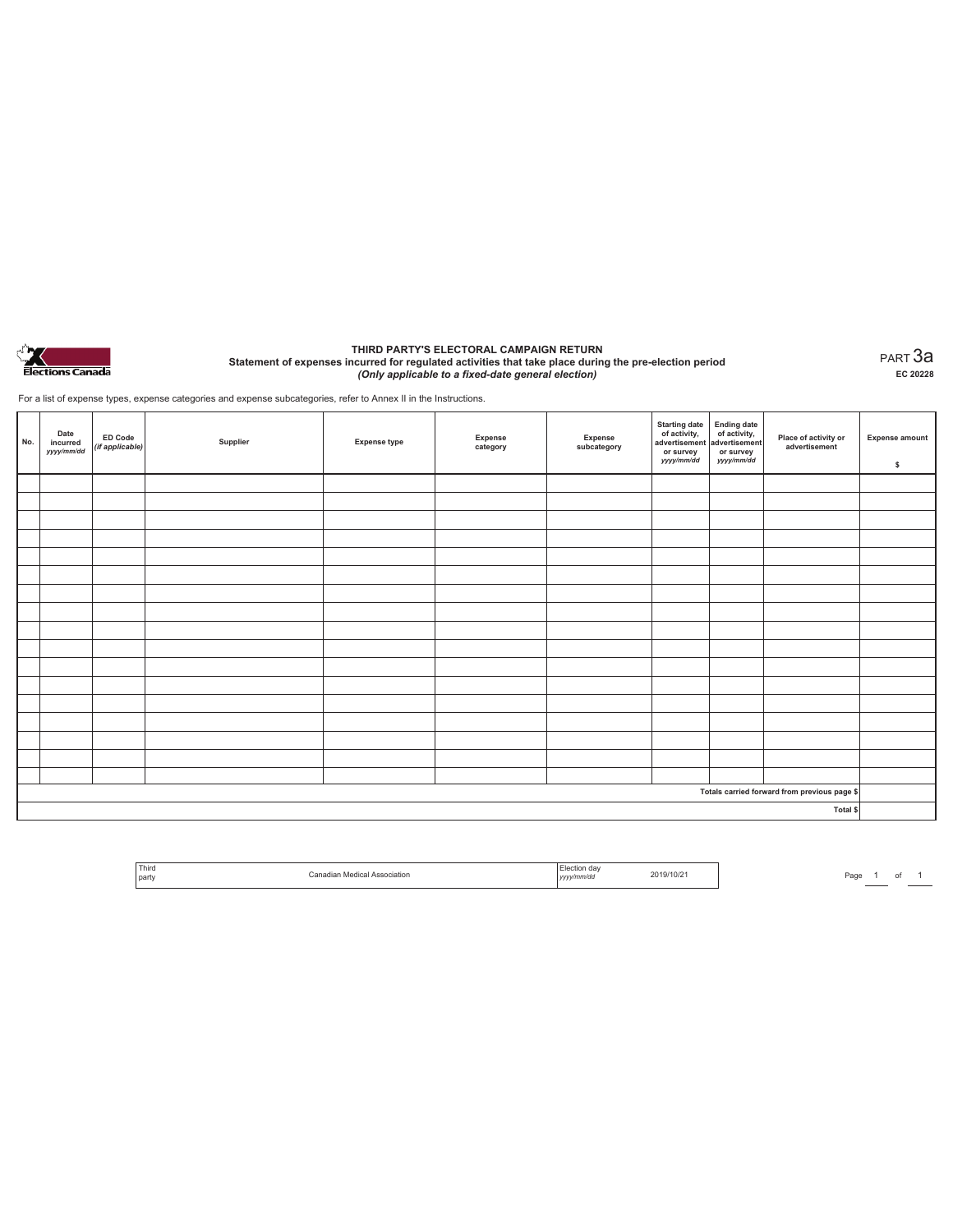

#### **THIRD PARTY'S ELECTORAL CAMPAIGN RETURN Statement of expenses incurred for regulated activities that take place during the pre-election period**  *(Only applicable to a fixed-date general election)*

PART 3a **EC 20228**

For a list of expense types, expense categories and expense subcategories, refer to Annex II in the Instructions.

| No. | Date<br>incurred<br>yyyy/mm/dd | ED Code<br>(if applicable) | Supplier | <b>Expense type</b> | Expense<br>category | Expense<br>subcategory | Starting date<br>of activity,<br>advertisement<br>advertisement<br>dvertisement<br>or survey<br>yyyy/mm/dd | or survey<br>yyyy/mm/dd | Place of activity or<br>advertisement        | <b>Expense amount</b><br>\$ |
|-----|--------------------------------|----------------------------|----------|---------------------|---------------------|------------------------|------------------------------------------------------------------------------------------------------------|-------------------------|----------------------------------------------|-----------------------------|
|     |                                |                            |          |                     |                     |                        |                                                                                                            |                         |                                              |                             |
|     |                                |                            |          |                     |                     |                        |                                                                                                            |                         |                                              |                             |
|     |                                |                            |          |                     |                     |                        |                                                                                                            |                         |                                              |                             |
|     |                                |                            |          |                     |                     |                        |                                                                                                            |                         |                                              |                             |
|     |                                |                            |          |                     |                     |                        |                                                                                                            |                         |                                              |                             |
|     |                                |                            |          |                     |                     |                        |                                                                                                            |                         |                                              |                             |
|     |                                |                            |          |                     |                     |                        |                                                                                                            |                         |                                              |                             |
|     |                                |                            |          |                     |                     |                        |                                                                                                            |                         |                                              |                             |
|     |                                |                            |          |                     |                     |                        |                                                                                                            |                         |                                              |                             |
|     |                                |                            |          |                     |                     |                        |                                                                                                            |                         |                                              |                             |
|     |                                |                            |          |                     |                     |                        |                                                                                                            |                         |                                              |                             |
|     |                                |                            |          |                     |                     |                        |                                                                                                            |                         |                                              |                             |
|     |                                |                            |          |                     |                     |                        |                                                                                                            |                         |                                              |                             |
|     |                                |                            |          |                     |                     |                        |                                                                                                            |                         |                                              |                             |
|     |                                |                            |          |                     |                     |                        |                                                                                                            |                         |                                              |                             |
|     |                                |                            |          |                     |                     |                        |                                                                                                            |                         |                                              |                             |
|     |                                |                            |          |                     |                     |                        |                                                                                                            |                         |                                              |                             |
|     |                                |                            |          |                     |                     |                        |                                                                                                            |                         | Totals carried forward from previous page \$ |                             |
|     |                                |                            |          |                     |                     |                        |                                                                                                            |                         | Total \$                                     |                             |

| ' Third<br>the contract of the contract of<br>party | sociation | dav<br>.rior<br>v/mm/da<br> | 2019/10/2 |
|-----------------------------------------------------|-----------|-----------------------------|-----------|
|-----------------------------------------------------|-----------|-----------------------------|-----------|

Page  $\frac{1}{\phantom{1}}$  of  $\frac{1}{\phantom{1}}$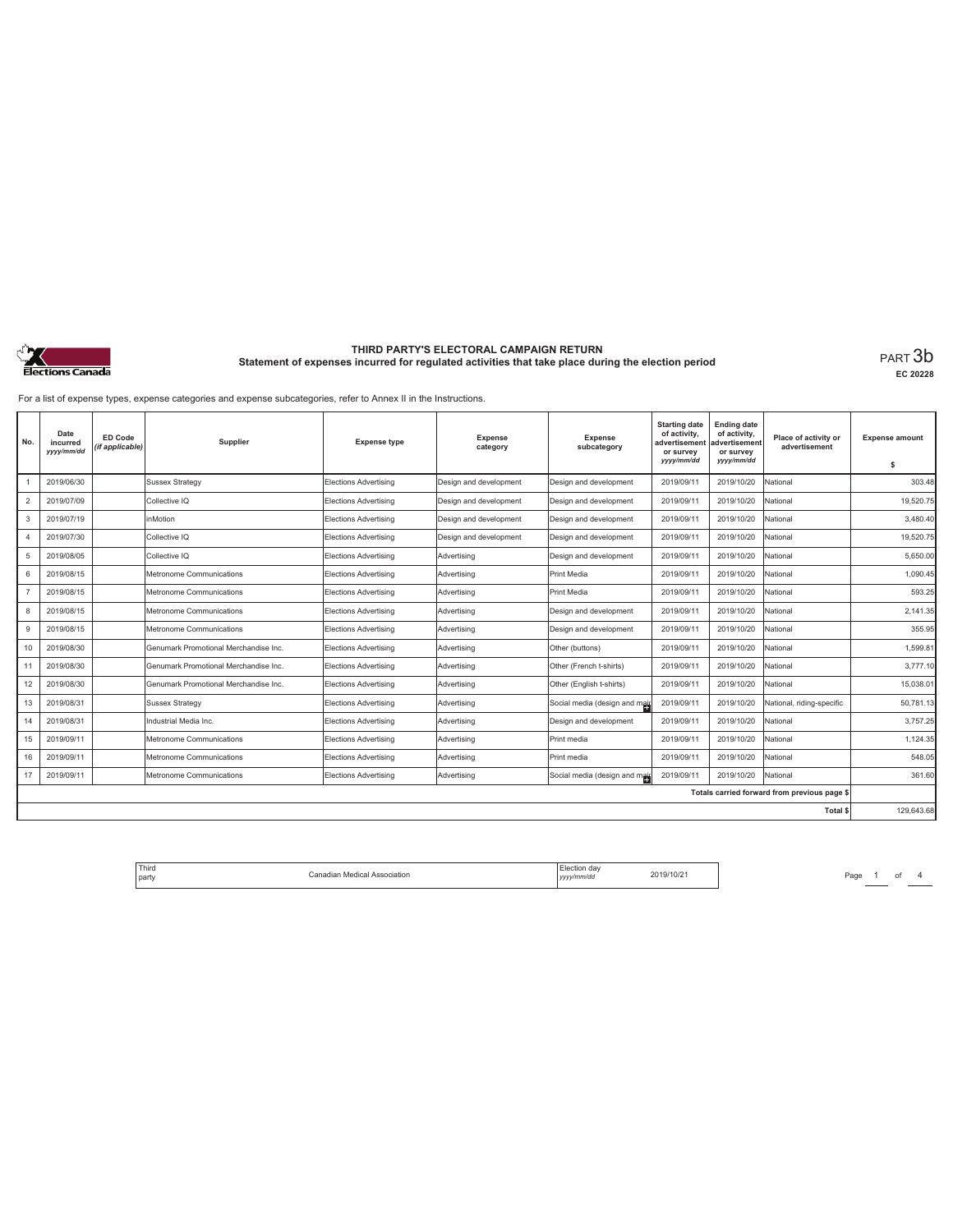

#### **THIRD PARTY'S ELECTORAL CAMPAIGN RETURN Statement of expenses incurred for regulated activities that take place during the election period**<br>PART  $3b$

**EC 20228**

For a list of expense types, expense categories and expense subcategories, refer to Annex II in the Instructions.

| No.            | Date<br>incurred<br>yyyy/mm/dd | <b>ED Code</b><br>(if applicable) | Supplier                              | <b>Expense type</b>          | <b>Expense</b><br>category | <b>Expense</b><br>subcategory | <b>Starting date</b><br>of activity,<br>advertisement<br>or survey<br>yyyy/mm/dd | <b>Ending date</b><br>of activity,<br>advertisement<br>or survey<br>yyyy/mm/dd | Place of activity or<br>advertisement        | <b>Expense amount</b><br>s |
|----------------|--------------------------------|-----------------------------------|---------------------------------------|------------------------------|----------------------------|-------------------------------|----------------------------------------------------------------------------------|--------------------------------------------------------------------------------|----------------------------------------------|----------------------------|
|                | 2019/06/30                     |                                   | <b>Sussex Strategy</b>                | <b>Elections Advertising</b> | Design and development     | Design and development        | 2019/09/11                                                                       | 2019/10/20                                                                     | National                                     | 303.48                     |
| $\overline{2}$ | 2019/07/09                     |                                   | Collective IQ                         | Elections Advertising        | Design and development     | Design and development        | 2019/09/11                                                                       | 2019/10/20                                                                     | National                                     | 19,520.75                  |
| 3              | 2019/07/19                     |                                   | inMotion                              | Elections Advertising        | Design and development     | Design and development        | 2019/09/11                                                                       | 2019/10/20                                                                     | National                                     | 3.480.40                   |
|                | 2019/07/30                     |                                   | Collective IQ                         | <b>Elections Advertising</b> | Design and development     | Design and development        | 2019/09/11                                                                       | 2019/10/20                                                                     | National                                     | 19,520.75                  |
| 5              | 2019/08/05                     |                                   | Collective IQ                         | Elections Advertising        | Advertising                | Design and development        | 2019/09/11                                                                       | 2019/10/20                                                                     | National                                     | 5.650.00                   |
| 6              | 2019/08/15                     |                                   | Metronome Communications              | Elections Advertising        | Advertising                | Print Media                   | 2019/09/11                                                                       | 2019/10/20                                                                     | National                                     | 1.090.45                   |
|                | 2019/08/15                     |                                   | Metronome Communications              | Elections Advertising        | Advertisina                | Print Media                   | 2019/09/11                                                                       | 2019/10/20                                                                     | National                                     | 593.25                     |
| 8              | 2019/08/15                     |                                   | Metronome Communications              | Elections Advertising        | Advertising                | Design and development        | 2019/09/11                                                                       | 2019/10/20                                                                     | National                                     | 2.141.35                   |
| 9              | 2019/08/15                     |                                   | Metronome Communications              | Elections Advertising        | Advertisina                | Design and development        | 2019/09/11                                                                       | 2019/10/20                                                                     | National                                     | 355.95                     |
| 10             | 2019/08/30                     |                                   | Genumark Promotional Merchandise Inc. | Elections Advertising        | Advertisina                | Other (buttons)               | 2019/09/11                                                                       | 2019/10/20                                                                     | National                                     | 1.599.81                   |
| 11             | 2019/08/30                     |                                   | Genumark Promotional Merchandise Inc. | Elections Advertising        | Advertising                | Other (French t-shirts)       | 2019/09/11                                                                       | 2019/10/20                                                                     | National                                     | 3,777.10                   |
| 12             | 2019/08/30                     |                                   | Genumark Promotional Merchandise Inc. | Elections Advertising        | Advertising                | Other (English t-shirts)      | 2019/09/11                                                                       | 2019/10/20                                                                     | National                                     | 15,038.01                  |
| 13             | 2019/08/31                     |                                   | Sussex Strategy                       | Elections Advertising        | Advertising                | Social media (design and mail | 2019/09/11                                                                       | 2019/10/20                                                                     | National, riding-specific                    | 50,781.13                  |
| 14             | 2019/08/31                     |                                   | Industrial Media Inc.                 | Elections Advertising        | Advertising                | Design and development        | 2019/09/11                                                                       | 2019/10/20                                                                     | National                                     | 3,757.25                   |
| 15             | 2019/09/11                     |                                   | Metronome Communications              | Elections Advertising        | Advertising                | Print media                   | 2019/09/11                                                                       | 2019/10/20                                                                     | National                                     | 1,124.35                   |
| 16             | 2019/09/11                     |                                   | Metronome Communications              | Elections Advertising        | Advertisina                | Print media                   | 2019/09/11                                                                       | 2019/10/20                                                                     | National                                     | 548.05                     |
| 17             | 2019/09/11                     |                                   | Metronome Communications              | Elections Advertising        | Advertising                | Social media (design and mail | 2019/09/11                                                                       | 2019/10/20                                                                     | National                                     | 361.60                     |
|                |                                |                                   |                                       |                              |                            |                               |                                                                                  |                                                                                | Totals carried forward from previous page \$ |                            |
|                |                                |                                   |                                       |                              |                            |                               |                                                                                  |                                                                                | <b>Total \$</b>                              | 129.643.68                 |

Page <sup>1</sup> of <sup>4</sup> Third party Canadian Medical Association Election day *yyyy/mm/dd* 2019/10/21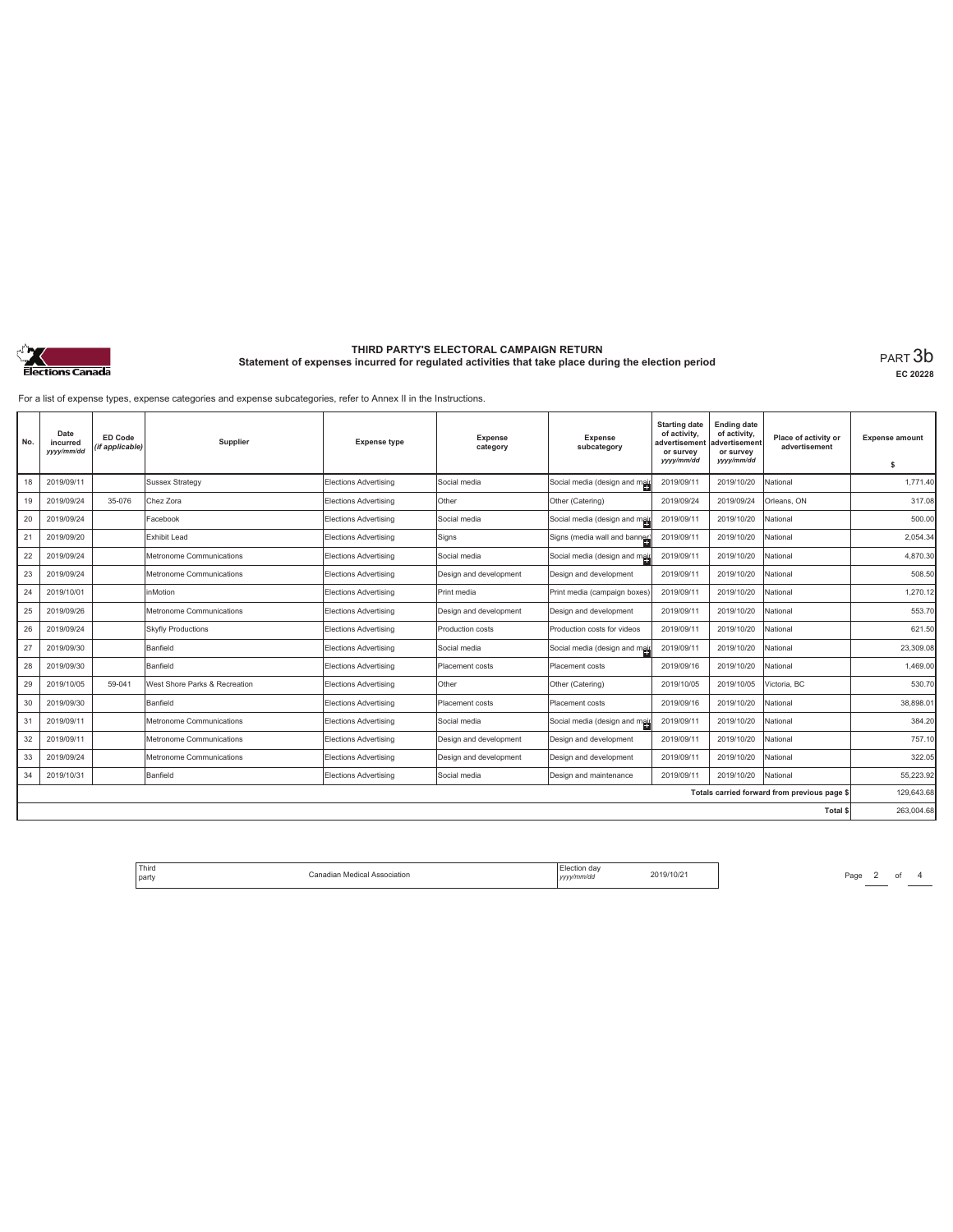

# **THIRD PARTY'S ELECTORAL CAMPAIGN RETURN Statement of expenses incurred for regulated activities that take place during the election period** PART 3b

**EC 20228**

For a list of expense types, expense categories and expense subcategories, refer to Annex II in the Instructions.

| No. | Date<br>incurred<br>yyyy/mm/dd | <b>ED Code</b><br>(if applicable) | Supplier                      | <b>Expense type</b>   | <b>Expense</b><br>category | <b>Expense</b><br>subcategory | <b>Starting date</b><br>of activity,<br>advertisement<br>or survey<br>yyyy/mm/dd | <b>Ending date</b><br>of activity,<br>advertisement<br>or survey<br>yyyy/mm/dd | Place of activity or<br>advertisement        | <b>Expense amount</b><br>s |
|-----|--------------------------------|-----------------------------------|-------------------------------|-----------------------|----------------------------|-------------------------------|----------------------------------------------------------------------------------|--------------------------------------------------------------------------------|----------------------------------------------|----------------------------|
| 18  | 2019/09/11                     |                                   | <b>Sussex Strategy</b>        | Elections Advertising | Social media               | Social media (design and mail | 2019/09/11                                                                       | 2019/10/20                                                                     | National                                     | 1.771.40                   |
| 19  | 2019/09/24                     | 35-076                            | Chez Zora                     | Elections Advertising | Other                      | Other (Catering)              | 2019/09/24                                                                       | 2019/09/24                                                                     | Orleans, ON                                  | 317.08                     |
| 20  | 2019/09/24                     |                                   | Facebook                      | Elections Advertising | Social media               | Social media (design and main | 2019/09/11                                                                       | 2019/10/20                                                                     | National                                     | 500.00                     |
| 21  | 2019/09/20                     |                                   | Exhibit Lead                  | Elections Advertising | Signs                      | Signs (media wall and banner) | 2019/09/11                                                                       | 2019/10/20                                                                     | National                                     | 2,054.34                   |
| 22  | 2019/09/24                     |                                   | Metronome Communications      | Elections Advertising | Social media               | Social media (design and mail | 2019/09/11                                                                       | 2019/10/20                                                                     | National                                     | 4.870.30                   |
| 23  | 2019/09/24                     |                                   | Metronome Communications      | Elections Advertising | Design and development     | Design and development        | 2019/09/11                                                                       | 2019/10/20                                                                     | National                                     | 508.50                     |
| 24  | 2019/10/01                     |                                   | inMotion                      | Elections Advertising | Print media                | Print media (campaign boxes)  | 2019/09/11                                                                       | 2019/10/20                                                                     | National                                     | 1.270.12                   |
| 25  | 2019/09/26                     |                                   | Metronome Communications      | Elections Advertising | Design and development     | Design and development        | 2019/09/11                                                                       | 2019/10/20                                                                     | National                                     | 553.70                     |
| 26  | 2019/09/24                     |                                   | <b>Skyfly Productions</b>     | Elections Advertising | Production costs           | Production costs for videos   | 2019/09/11                                                                       | 2019/10/20                                                                     | National                                     | 621.50                     |
| 27  | 2019/09/30                     |                                   | Banfield                      | Elections Advertising | Social media               | Social media (design and mail | 2019/09/11                                                                       | 2019/10/20                                                                     | National                                     | 23.309.08                  |
| 28  | 2019/09/30                     |                                   | Banfield                      | Elections Advertising | Placement costs            | Placement costs               | 2019/09/16                                                                       | 2019/10/20                                                                     | National                                     | 1,469.00                   |
| 29  | 2019/10/05                     | 59-041                            | West Shore Parks & Recreation | Elections Advertising | Other                      | Other (Catering)              | 2019/10/05                                                                       | 2019/10/05                                                                     | Victoria, BC                                 | 530.70                     |
| 30  | 2019/09/30                     |                                   | Banfield                      | Elections Advertising | Placement costs            | Placement costs               | 2019/09/16                                                                       | 2019/10/20                                                                     | National                                     | 38,898.01                  |
| 31  | 2019/09/11                     |                                   | Metronome Communications      | Elections Advertising | Social media               | Social media (design and mail | 2019/09/11                                                                       | 2019/10/20                                                                     | National                                     | 384.20                     |
| 32  | 2019/09/11                     |                                   | Metronome Communications      | Elections Advertising | Design and development     | Design and development        | 2019/09/11                                                                       | 2019/10/20                                                                     | National                                     | 757.10                     |
| 33  | 2019/09/24                     |                                   | Metronome Communications      | Elections Advertising | Design and development     | Design and development        | 2019/09/11                                                                       | 2019/10/20                                                                     | National                                     | 322.05                     |
| 34  | 2019/10/31                     |                                   | Banfield                      | Elections Advertising | Social media               | Design and maintenance        | 2019/09/11                                                                       | 2019/10/20                                                                     | National                                     | 55.223.92                  |
|     |                                |                                   |                               |                       |                            |                               |                                                                                  |                                                                                | Totals carried forward from previous page \$ | 129,643.68                 |
|     |                                |                                   |                               |                       |                            |                               |                                                                                  |                                                                                | <b>Total \$</b>                              | 263.004.68                 |

| 2019/10/21 |
|------------|
|            |

Page  $2$  of  $4$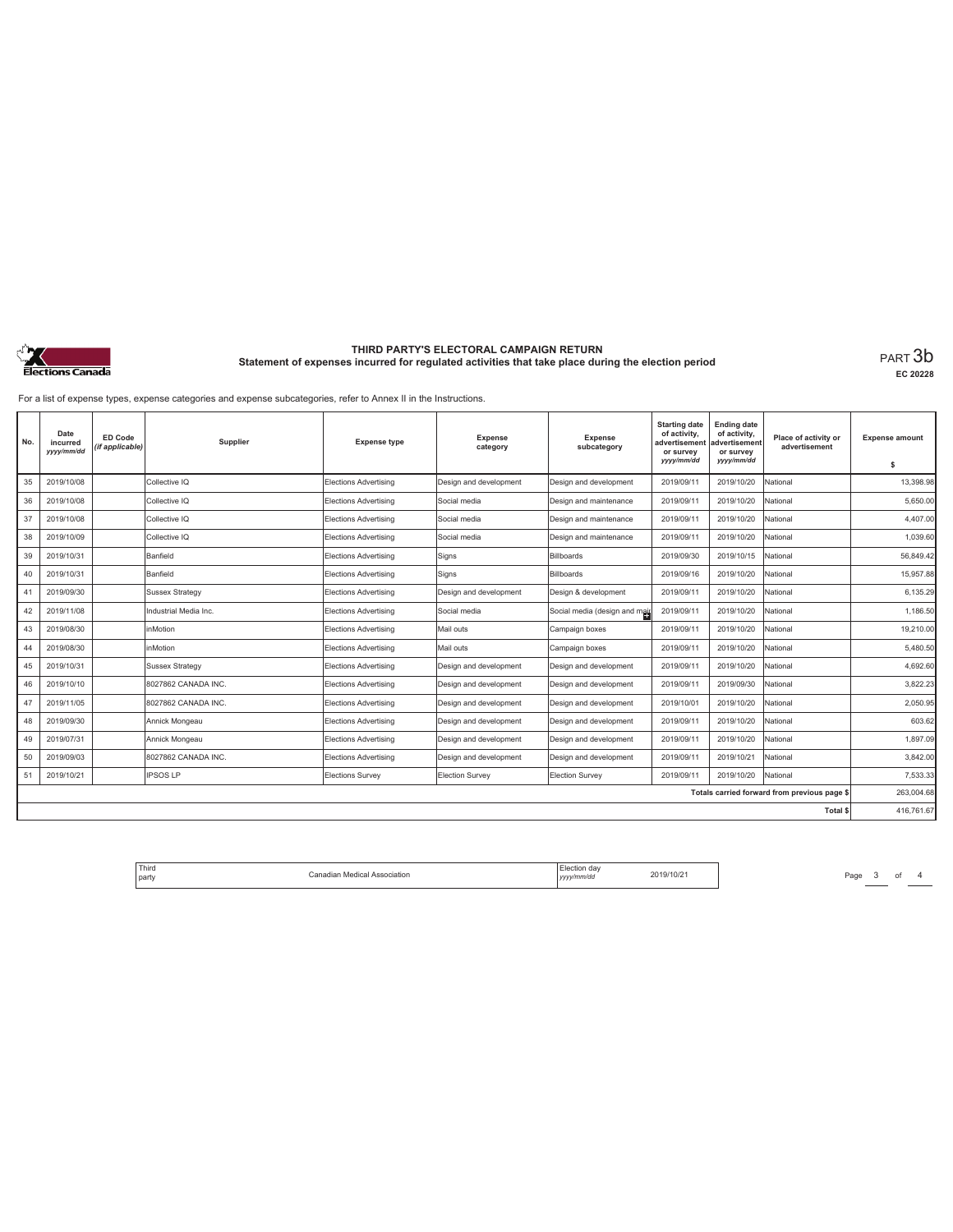

# **THIRD PARTY'S ELECTORAL CAMPAIGN RETURN Statement of expenses incurred for regulated activities that take place during the election period** PART 3b

**EC 20228**

For a list of expense types, expense categories and expense subcategories, refer to Annex II in the Instructions.

| No. | Date<br>incurred<br>yyyy/mm/dd | ED Code<br>(if applicable) | Supplier              | <b>Expense type</b>          | <b>Expense</b><br>category | <b>Expense</b><br>subcategory | <b>Starting date</b><br>of activity,<br>advertisemen<br>or survey | <b>Ending date</b><br>of activity,<br>advertisement<br>or survey | Place of activity or<br>advertisement        | <b>Expense amount</b> |
|-----|--------------------------------|----------------------------|-----------------------|------------------------------|----------------------------|-------------------------------|-------------------------------------------------------------------|------------------------------------------------------------------|----------------------------------------------|-----------------------|
|     |                                |                            |                       |                              |                            |                               | yyyy/mm/dd                                                        | yyyy/mm/dd                                                       |                                              | s                     |
| 35  | 2019/10/08                     |                            | Collective IQ         | <b>Elections Advertising</b> | Design and development     | Design and development        | 2019/09/11                                                        | 2019/10/20                                                       | National                                     | 13,398.98             |
| 36  | 2019/10/08                     |                            | Collective IQ         | <b>Elections Advertising</b> | Social media               | Design and maintenance        | 2019/09/11                                                        | 2019/10/20                                                       | National                                     | 5,650.00              |
| 37  | 2019/10/08                     |                            | Collective IQ         | Elections Advertising        | Social media               | Design and maintenance        | 2019/09/11                                                        | 2019/10/20                                                       | National                                     | 4,407.00              |
| 38  | 2019/10/09                     |                            | Collective IQ         | Elections Advertising        | Social media               | Design and maintenance        | 2019/09/11                                                        | 2019/10/20                                                       | National                                     | 1,039.60              |
| 39  | 2019/10/31                     |                            | Banfield              | <b>Elections Advertising</b> | Signs                      | Billboards                    | 2019/09/30                                                        | 2019/10/15                                                       | National                                     | 56,849.42             |
| 40  | 2019/10/31                     |                            | Banfield              | <b>Elections Advertising</b> | Signs                      | Billboards                    | 2019/09/16                                                        | 2019/10/20                                                       | National                                     | 15,957.88             |
| 41  | 2019/09/30                     |                            | Sussex Strategy       | Elections Advertising        | Design and development     | Design & development          | 2019/09/11                                                        | 2019/10/20                                                       | National                                     | 6,135.29              |
| 42  | 2019/11/08                     |                            | Industrial Media Inc. | <b>Elections Advertising</b> | Social media               | Social media (design and mail | 2019/09/11                                                        | 2019/10/20                                                       | National                                     | 1.186.50              |
| 43  | 2019/08/30                     |                            | nMotion               | Elections Advertising        | Mail outs                  | Campaign boxes                | 2019/09/11                                                        | 2019/10/20                                                       | National                                     | 19,210.00             |
| 44  | 2019/08/30                     |                            | inMotion              | Elections Advertising        | Mail outs                  | Campaign boxes                | 2019/09/11                                                        | 2019/10/20                                                       | National                                     | 5,480.50              |
| 45  | 2019/10/31                     |                            | Sussex Strategy       | Elections Advertising        | Design and development     | Design and development        | 2019/09/11                                                        | 2019/10/20                                                       | National                                     | 4.692.60              |
| 46  | 2019/10/10                     |                            | 8027862 CANADA INC.   | Elections Advertising        | Design and development     | Design and development        | 2019/09/11                                                        | 2019/09/30                                                       | National                                     | 3,822.23              |
| 47  | 2019/11/05                     |                            | 8027862 CANADA INC.   | Elections Advertising        | Design and development     | Design and development        | 2019/10/01                                                        | 2019/10/20                                                       | National                                     | 2.050.95              |
| 48  | 2019/09/30                     |                            | Annick Mongeau        | <b>Elections Advertising</b> | Design and development     | Design and development        | 2019/09/11                                                        | 2019/10/20                                                       | National                                     | 603.62                |
| 49  | 2019/07/31                     |                            | Annick Mongeau        | <b>Elections Advertising</b> | Design and development     | Design and development        | 2019/09/11                                                        | 2019/10/20                                                       | National                                     | 1,897.09              |
| 50  | 2019/09/03                     |                            | 8027862 CANADA INC.   | <b>Elections Advertising</b> | Design and development     | Design and development        | 2019/09/11                                                        | 2019/10/21                                                       | National                                     | 3,842.00              |
| 51  | 2019/10/21                     |                            | <b>IPSOS LP</b>       | Elections Survey             | <b>Election Survey</b>     | Election Survey               | 2019/09/11                                                        | 2019/10/20                                                       | National                                     | 7,533.33              |
|     |                                |                            |                       |                              |                            |                               |                                                                   |                                                                  | Totals carried forward from previous page \$ | 263,004.68            |
|     |                                |                            |                       |                              |                            |                               |                                                                   |                                                                  | Total \$                                     | 416,761.67            |

|  | ' Third<br>.<br>l partv | Canadian Medical Association | Election day<br>. .<br>/mm/dd<br>,,,, | 2019/10/2 |
|--|-------------------------|------------------------------|---------------------------------------|-----------|
|--|-------------------------|------------------------------|---------------------------------------|-----------|

Page  $3$  of  $4$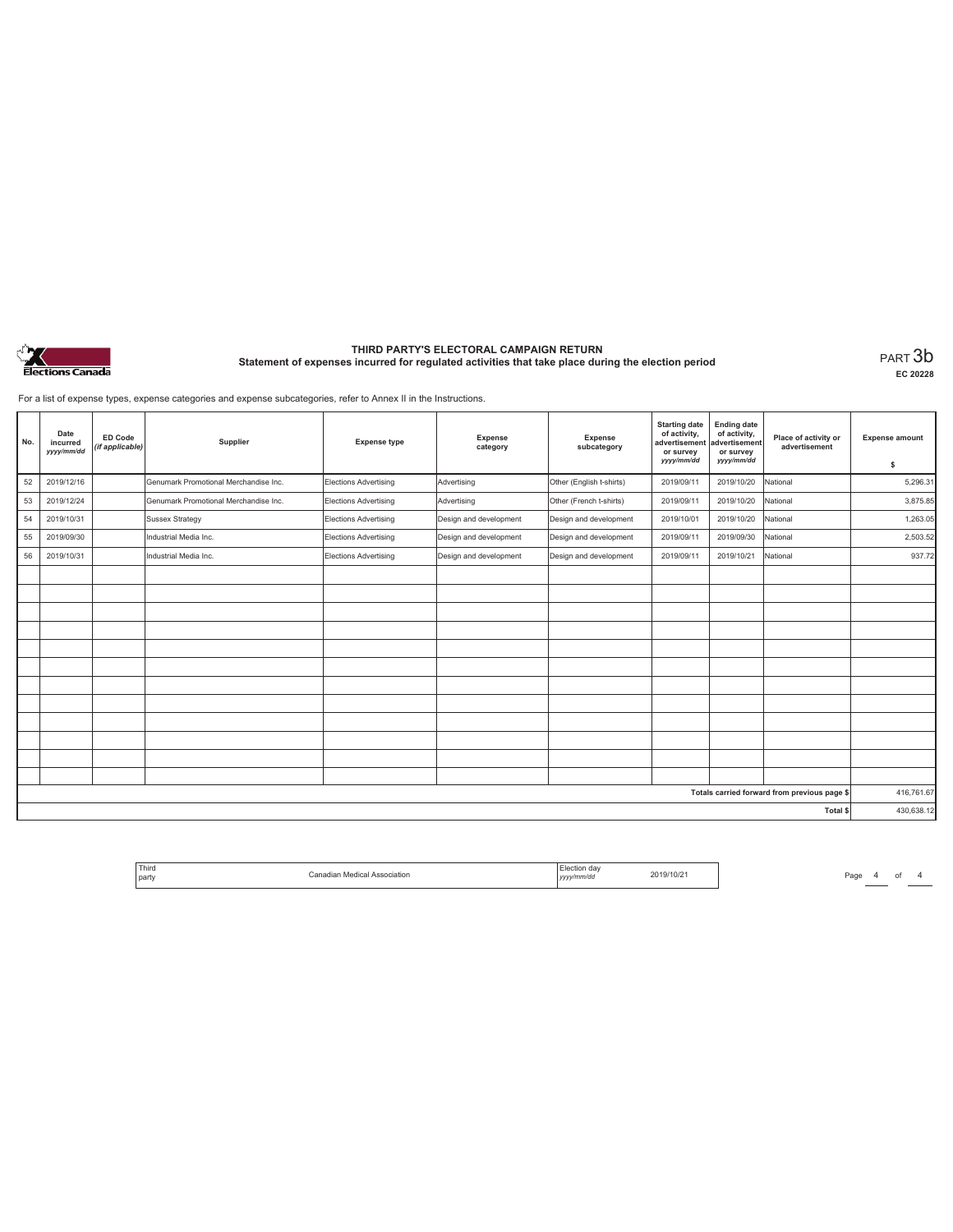

# **THIRD PARTY'S ELECTORAL CAMPAIGN RETURN Statement of expenses incurred for regulated activities that take place during the election period** PART 3b

**EC 20228**

For a list of expense types, expense categories and expense subcategories, refer to Annex II in the Instructions.

| No. | Date<br>incurred<br>yyyy/mm/dd | ED Code<br>(if applicable) | Supplier                              | <b>Expense type</b>   | Expense<br>category    | <b>Expense</b><br>subcategory | <b>Starting date</b><br>of activity,<br>advertisement<br>or survey<br>yyyy/mm/dd | <b>Ending date</b><br>of activity,<br>advertisement<br>or survey<br>yyyy/mm/dd | Place of activity or<br>advertisement        | <b>Expense amount</b><br>\$ |
|-----|--------------------------------|----------------------------|---------------------------------------|-----------------------|------------------------|-------------------------------|----------------------------------------------------------------------------------|--------------------------------------------------------------------------------|----------------------------------------------|-----------------------------|
| 52  | 2019/12/16                     |                            | Genumark Promotional Merchandise Inc. | Elections Advertising | Advertising            | Other (English t-shirts)      | 2019/09/11                                                                       | 2019/10/20                                                                     | National                                     | 5,296.31                    |
| 53  | 2019/12/24                     |                            | Genumark Promotional Merchandise Inc. | Elections Advertising | Advertising            | Other (French t-shirts)       | 2019/09/11                                                                       | 2019/10/20                                                                     | National                                     | 3,875.85                    |
| 54  | 2019/10/31                     |                            | <b>Sussex Strategy</b>                | Elections Advertising | Design and development | Design and development        | 2019/10/01                                                                       | 2019/10/20                                                                     | National                                     | 1,263.05                    |
| 55  | 2019/09/30                     |                            | Industrial Media Inc.                 | Elections Advertising | Design and development | Design and development        | 2019/09/11                                                                       | 2019/09/30                                                                     | National                                     | 2,503.52                    |
| 56  | 2019/10/31                     |                            | Industrial Media Inc.                 | Elections Advertising | Design and development | Design and development        | 2019/09/11                                                                       | 2019/10/21                                                                     | National                                     | 937.72                      |
|     |                                |                            |                                       |                       |                        |                               |                                                                                  |                                                                                |                                              |                             |
|     |                                |                            |                                       |                       |                        |                               |                                                                                  |                                                                                |                                              |                             |
|     |                                |                            |                                       |                       |                        |                               |                                                                                  |                                                                                |                                              |                             |
|     |                                |                            |                                       |                       |                        |                               |                                                                                  |                                                                                |                                              |                             |
|     |                                |                            |                                       |                       |                        |                               |                                                                                  |                                                                                |                                              |                             |
|     |                                |                            |                                       |                       |                        |                               |                                                                                  |                                                                                |                                              |                             |
|     |                                |                            |                                       |                       |                        |                               |                                                                                  |                                                                                |                                              |                             |
|     |                                |                            |                                       |                       |                        |                               |                                                                                  |                                                                                |                                              |                             |
|     |                                |                            |                                       |                       |                        |                               |                                                                                  |                                                                                |                                              |                             |
|     |                                |                            |                                       |                       |                        |                               |                                                                                  |                                                                                |                                              |                             |
|     |                                |                            |                                       |                       |                        |                               |                                                                                  |                                                                                |                                              |                             |
|     |                                |                            |                                       |                       |                        |                               |                                                                                  |                                                                                |                                              |                             |
|     |                                |                            |                                       |                       |                        |                               |                                                                                  |                                                                                | Totals carried forward from previous page \$ | 416,761.67                  |
|     |                                |                            |                                       |                       |                        |                               |                                                                                  |                                                                                | Total \$                                     | 430,638.12                  |

| ' Third<br>party | MAation<br>Association<br>,,,,,,,,,,<br>. | da»<br>v/mm/da | 11/12 |
|------------------|-------------------------------------------|----------------|-------|
|                  |                                           | ,,,,           |       |

Page 4 of 4